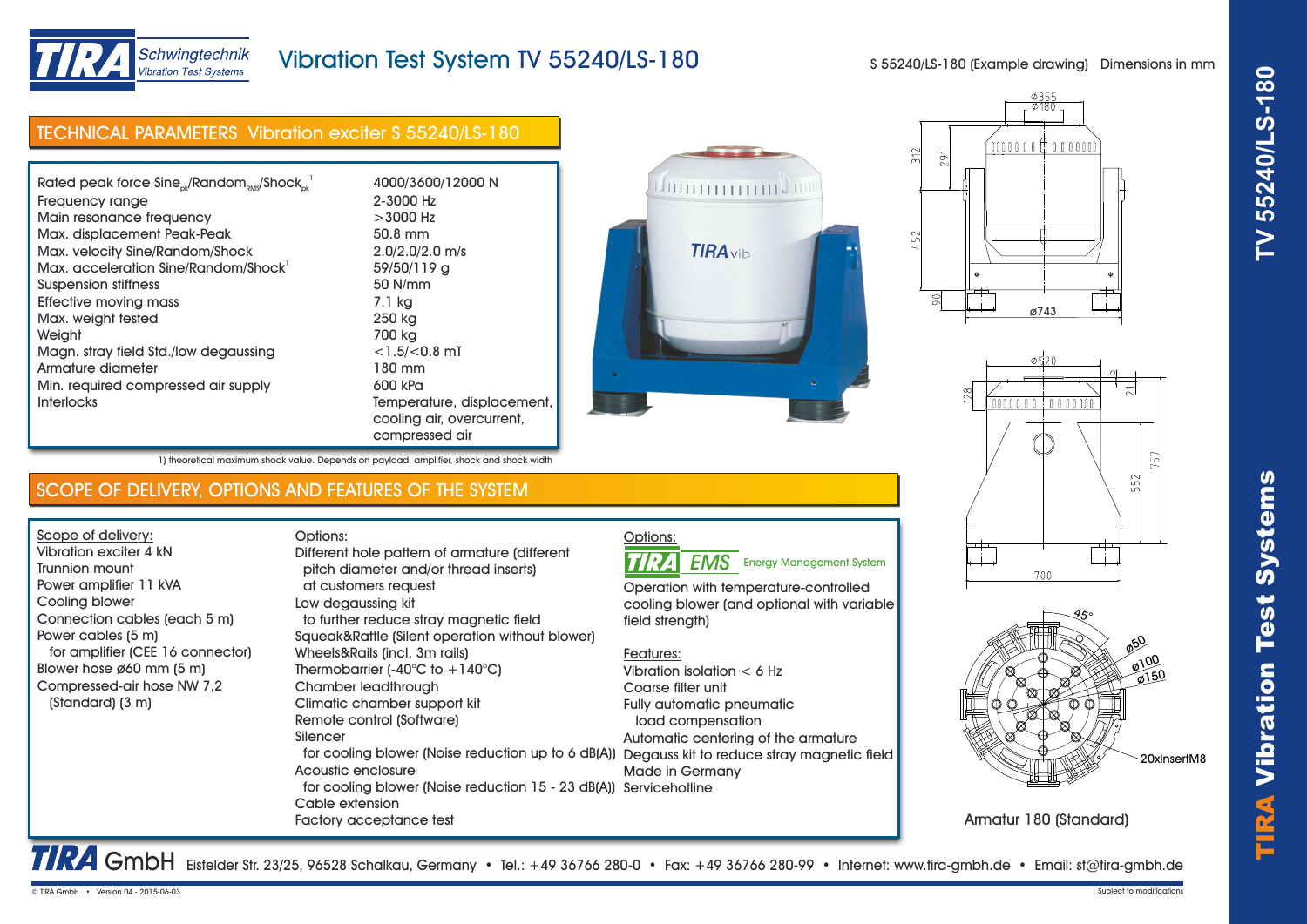

# Vibration Test System TV 55240/LS-180

S 55240/LS-180 (Example drawing) Dimensions in mm

| <b>TECHNICAL PARAMETERS Vibration exciter S 55240/LS-180</b> |                                                                                       |  |
|--------------------------------------------------------------|---------------------------------------------------------------------------------------|--|
|                                                              |                                                                                       |  |
| Rated peak force $Sine_{ok}/Random_{RMS}/Shock_{ck}^{-1}$    | 4000/3600/12000 N                                                                     |  |
| Frequency range                                              | 2-3000 Hz                                                                             |  |
| Main resonance frequency                                     | $>3000$ Hz                                                                            |  |
| Max. displacement Peak-Peak                                  | 50.8 mm                                                                               |  |
| Max. velocity Sine/Random/Shock                              | $2.0/2.0/2.0$ m/s                                                                     |  |
| Max. acceleration Sine/Random/Shock                          | 59/50/119 g                                                                           |  |
| Suspension stiffness                                         | 50 N/mm                                                                               |  |
| Effective moving mass                                        | 7.1 kg                                                                                |  |
| Max. weight tested                                           | 250 kg                                                                                |  |
| Weight                                                       | 700 kg                                                                                |  |
| Magn. stray field Std./low degaussing                        | $<$ 1.5/ $<$ 0.8 mT                                                                   |  |
| Armature diameter                                            | 180 mm                                                                                |  |
| Min. required compressed air supply                          | 600 kPa                                                                               |  |
| <b>Interlocks</b>                                            | Temperature, displacement,<br>cooling air, overcurrent,<br>المئما المتمتم متمسم متمسم |  |









Armatur 180 (Standard)

TRA GmbH Eisfelder Str. 23/25, 96528 Schalkau, Germany • Tel.: +49 36766 280-0 • Fax: +49 36766 280-99 • Internet: www.tira-gmbh.de • Email: st@tira-gmbh.de

| Effective moving mass                                                                    | 7.1 kg                     |  |
|------------------------------------------------------------------------------------------|----------------------------|--|
| Max. weight tested                                                                       | 250 kg                     |  |
| Weight                                                                                   | 700 kg                     |  |
| Magn. stray field Std./low degaussing                                                    | $<$ 1.5/ $<$ 0.8 mT        |  |
| Armature diameter                                                                        | 180 mm                     |  |
| Min. required compressed air supply                                                      | 600 kPa                    |  |
| <b>Interlocks</b>                                                                        | Temperature, displacement, |  |
|                                                                                          | cooling air, overcurrent,  |  |
|                                                                                          | compressed air             |  |
| 1) theoretical maximum shock value. Depends on payload, amplifier, shock and shock width |                            |  |

### SCOPE OF DELIVERY, OPTIONS AND FEATURES OF THE SYSTEM

Options:

Scope of delivery: Vibration exciter 4 kN Trunnion mount Power amplifier 11 kVA Cooling blower Connection cables (each 5 m) Power cables (5 m) for amplifier (CEE 16 connector) Blower hose ø60 mm (5 m) Compressed-air hose NW 7,2 (Standard) (3 m)

 pitch diameter and/or thread inserts) at customers request Low degaussing kit to further reduce stray magnetic field Squeak&Rattle (Silent operation without blower) Wheels&Rails (incl. 3m rails) Thermobarrier  $(-40^{\circ}C)$  to  $+140^{\circ}C$ ) Chamber leadthrough Climatic chamber support kit Remote control (Software) Silencer for cooling blower (Noise reduction up to 6 dB(A)) Degauss kit to reduce stray magnetic field Acoustic enclosure Different hole pattern of armature (different

 for cooling blower (Noise reduction 15 - 23 dB(A)) Servicehotline Cable extension Factory acceptance test



**EMS** Energy Management System

Operation with temperature-controlled cooling blower (and optional with variable field strength)

### Features:

Vibration isolation < 6 Hz Coarse filter unit Fully automatic pneumatic load compensation Automatic centering of the armature Made in Germany

TIRA Vibr